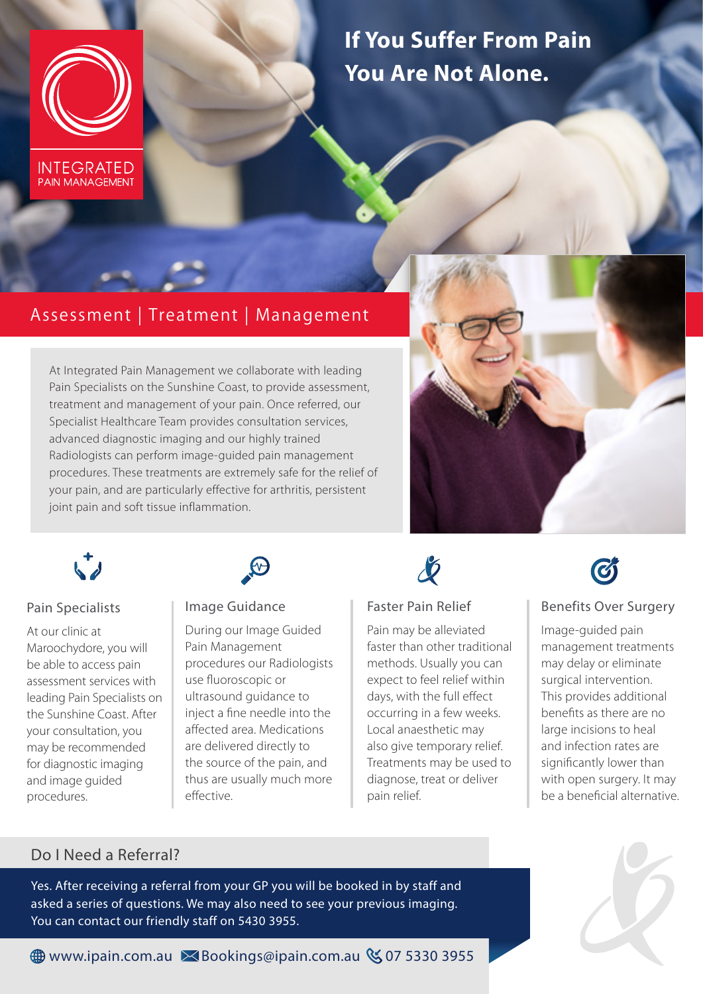

**PAIN MANAGEMENT** 

**If You Suffer From Pain You Are Not Alone.**

# Assessment | Treatment | Management

At Integrated Pain Management we collaborate with leading Pain Specialists on the Sunshine Coast, to provide assessment, treatment and management of your pain. Once referred, our Specialist Healthcare Team provides consultation services, advanced diagnostic imaging and our highly trained Radiologists can perform image-guided pain management procedures. These treatments are extremely safe for the relief of your pain, and are particularly effective for arthritis, persistent joint pain and soft tissue inflammation.





## Pain Specialists

At our clinic at Maroochydore, you will be able to access pain assessment services with leading Pain Specialists on the Sunshine Coast. After your consultation, you may be recommended for diagnostic imaging and image guided procedures.



#### Image Guidance

During our Image Guided Pain Management procedures our Radiologists use fluoroscopic or ultrasound guidance to inject a fine needle into the affected area. Medications are delivered directly to the source of the pain, and thus are usually much more effective.



## Faster Pain Relief

Pain may be alleviated faster than other traditional methods. Usually you can expect to feel relief within days, with the full effect occurring in a few weeks. Local anaesthetic may also give temporary relief. Treatments may be used to diagnose, treat or deliver pain relief.



## Benefits Over Surgery

Image-guided pain management treatments may delay or eliminate surgical intervention. This provides additional benefits as there are no large incisions to heal and infection rates are significantly lower than with open surgery. It may be a beneficial alternative.

## Do I Need a Referral?

Yes. After receiving a referral from your GP you will be booked in by staff and asked a series of questions. We may also need to see your previous imaging. You can contact our friendly staff on 5430 3955.



**<sup>⊕</sup> www.ipain.com.au × Bookings@ipain.com.au & 07 5330 3955**